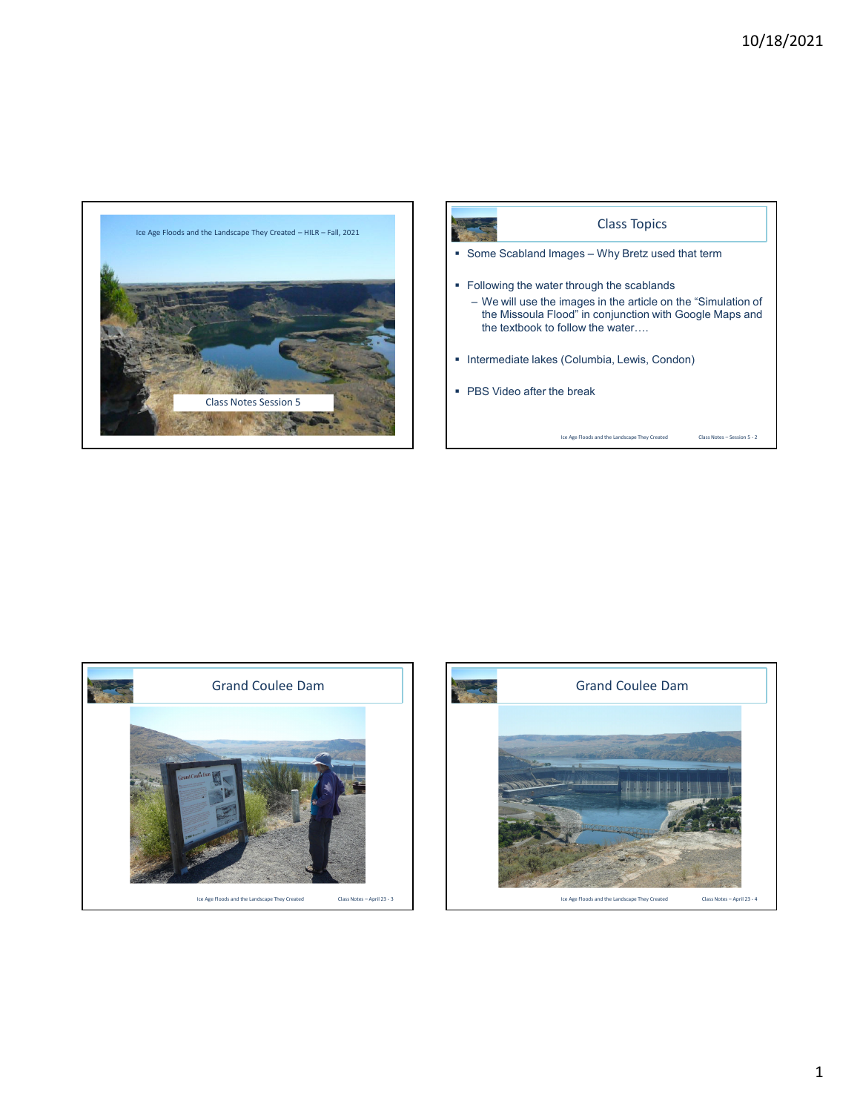





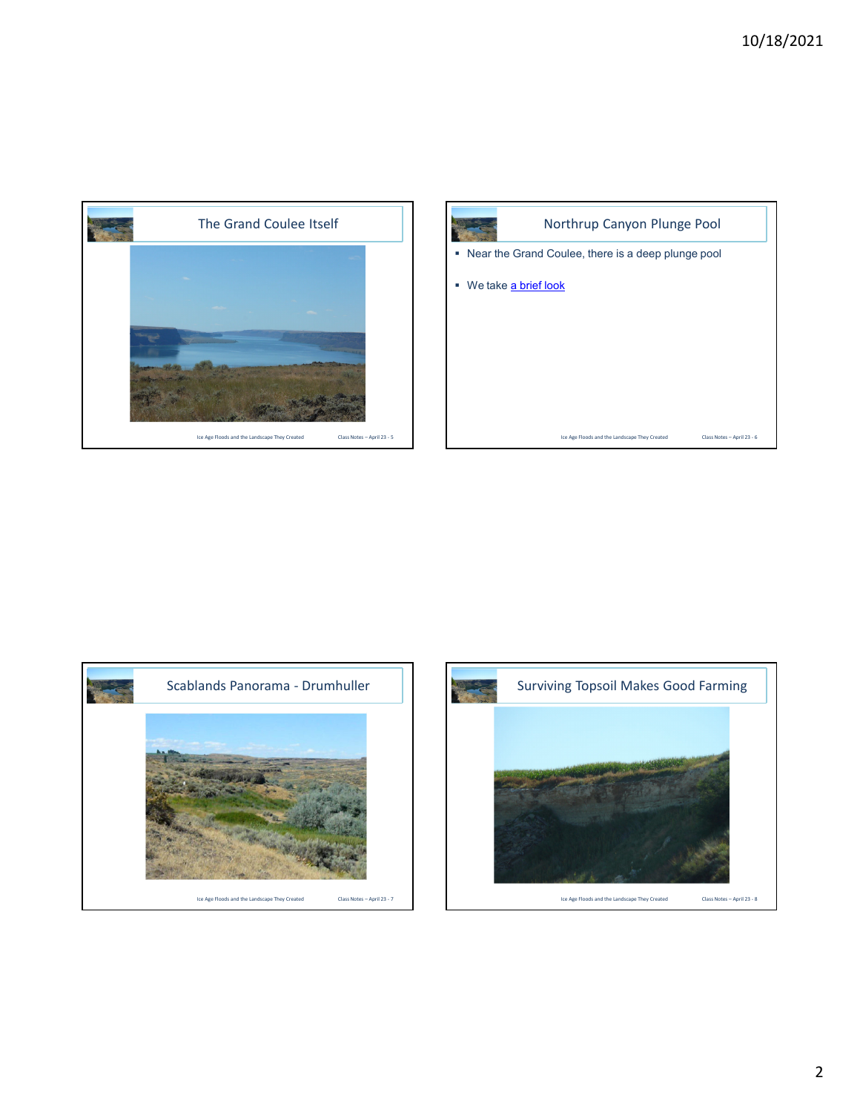







2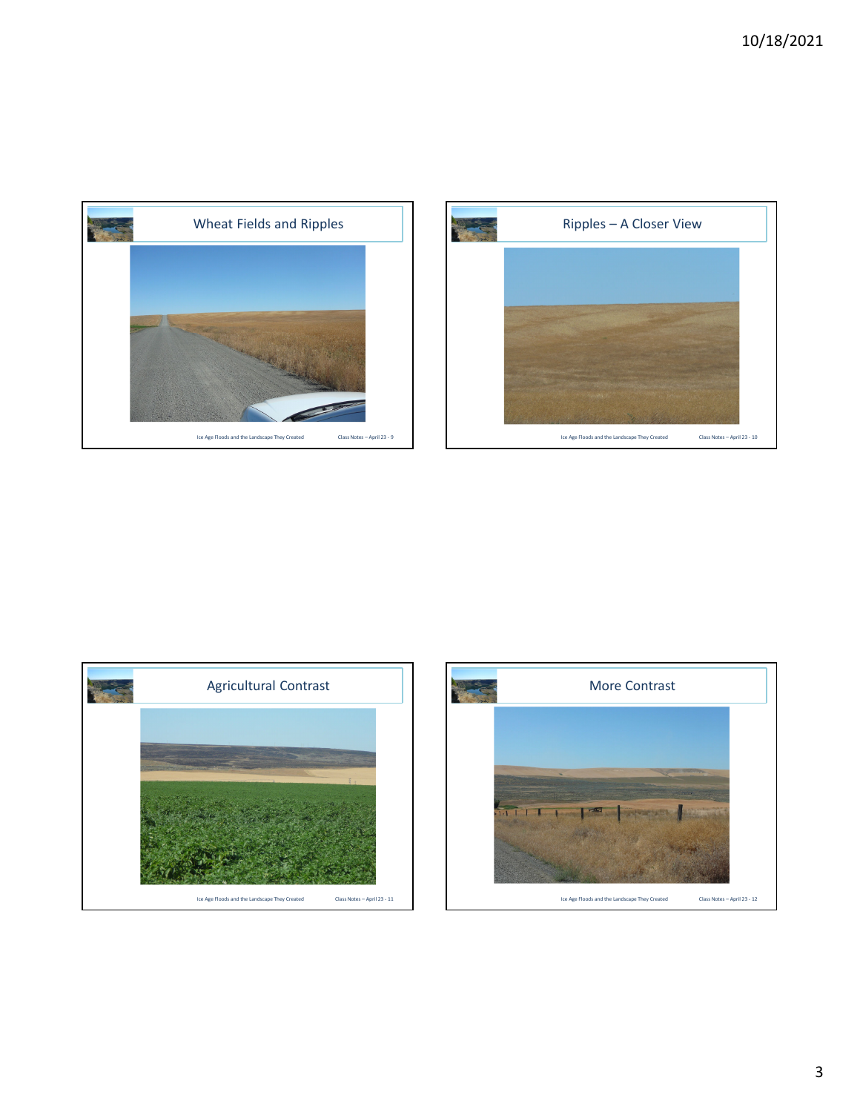